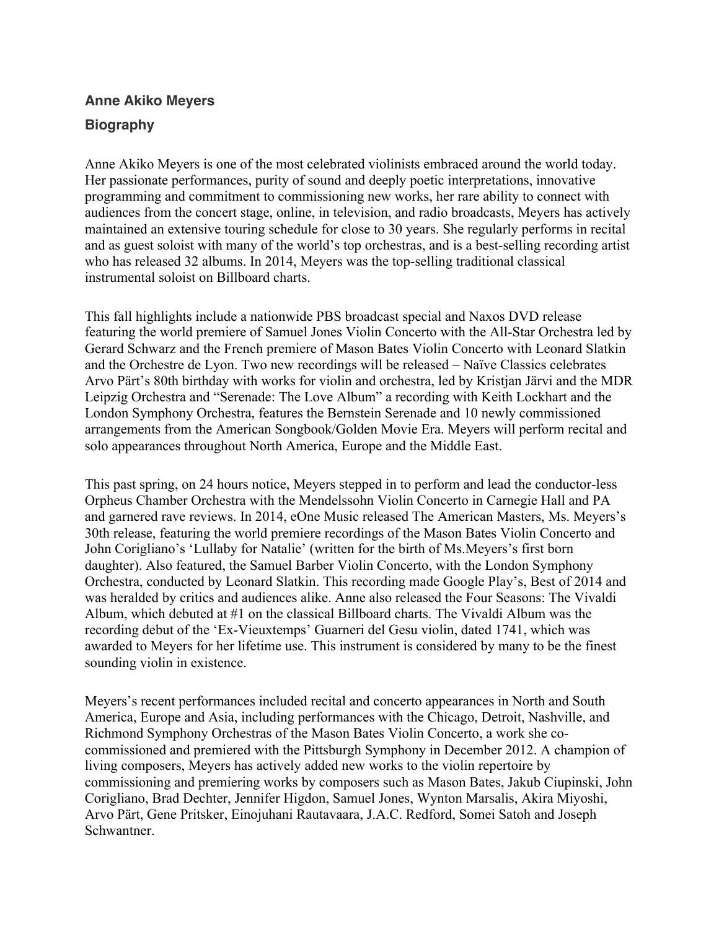## **Anne Akiko Meyers Biography**

Anne Akiko Meyers is one of the most celebrated violinists embraced around the world today. Her passionate performances, purity of sound and deeply poetic interpretations, innovative programming and commitment to commissioning new works, her rare ability to connect with audiences from the concert stage, online, in television, and radio broadcasts, Meyers has actively maintained an extensive touring schedule for close to 30 years. She regularly performs in recital and as guest soloist with many of the world's top orchestras, and is a best-selling recording artist who has released 32 albums. In 2014, Meyers was the top-selling traditional classical instrumental soloist on Billboard charts.

This fall highlights include a nationwide PBS broadcast special and Naxos DVD release featuring the world premiere of Samuel Jones Violin Concerto with the All-Star Orchestra led by Gerard Schwarz and the French premiere of Mason Bates Violin Concerto with Leonard Slatkin and the Orchestre de Lyon. Two new recordings will be released – Naïve Classics celebrates Arvo Pärt's 80th birthday with works for violin and orchestra, led by Kristjan Järvi and the MDR Leipzig Orchestra and "Serenade: The Love Album" a recording with Keith Lockhart and the London Symphony Orchestra, features the Bernstein Serenade and 10 newly commissioned arrangements from the American Songbook/Golden Movie Era. Meyers will perform recital and solo appearances throughout North America, Europe and the Middle East.

This past spring, on 24 hours notice, Meyers stepped in to perform and lead the conductor-less Orpheus Chamber Orchestra with the Mendelssohn Violin Concerto in Carnegie Hall and PA and garnered rave reviews. In 2014, eOne Music released The American Masters, Ms. Meyers's 30th release, featuring the world premiere recordings of the Mason Bates Violin Concerto and John Corigliano's 'Lullaby for Natalie' (written for the birth of Ms.Meyers's first born daughter). Also featured, the Samuel Barber Violin Concerto, with the London Symphony Orchestra, conducted by Leonard Slatkin. This recording made Google Play's, Best of 2014 and was heralded by critics and audiences alike. Anne also released the Four Seasons: The Vivaldi Album, which debuted at #1 on the classical Billboard charts. The Vivaldi Album was the recording debut of the 'Ex-Vieuxtemps' Guarneri del Gesu violin, dated 1741, which was awarded to Meyers for her lifetime use. This instrument is considered by many to be the finest sounding violin in existence.

Meyers's recent performances included recital and concerto appearances in North and South America, Europe and Asia, including performances with the Chicago, Detroit, Nashville, and Richmond Symphony Orchestras of the Mason Bates Violin Concerto, a work she cocommissioned and premiered with the Pittsburgh Symphony in December 2012. A champion of living composers, Meyers has actively added new works to the violin repertoire by commissioning and premiering works by composers such as Mason Bates, Jakub Ciupinski, John Corigliano, Brad Dechter, Jennifer Higdon, Samuel Jones, Wynton Marsalis, Akira Miyoshi, Arvo Pärt, Gene Pritsker, Einojuhani Rautavaara, J.A.C. Redford, Somei Satoh and Joseph Schwantner.